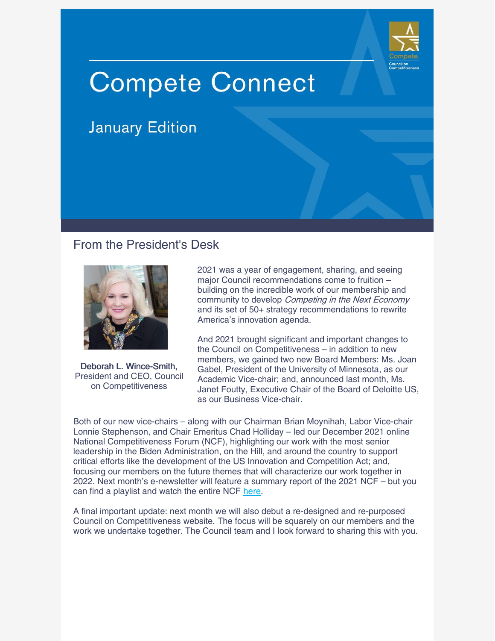

# **Compete Connect**

## **January Edition**

## From the President's Desk



Deborah L. Wince-Smith, President and CEO, Council on Competitiveness

2021 was a year of engagement, sharing, and seeing major Council recommendations come to fruition – building on the incredible work of our membership and community to develop Competing in the Next Economy and its set of 50+ strategy recommendations to rewrite America's innovation agenda.

And 2021 brought significant and important changes to the Council on Competitiveness – in addition to new members, we gained two new Board Members: Ms. Joan Gabel, President of the University of Minnesota, as our Academic Vice-chair; and, announced last month, Ms. Janet Foutty, Executive Chair of the Board of Deloitte US, as our Business Vice-chair.

Both of our new vice-chairs – along with our Chairman Brian Moynihah, Labor Vice-chair Lonnie Stephenson, and Chair Emeritus Chad Holliday – led our December 2021 online National Competitiveness Forum (NCF), highlighting our work with the most senior leadership in the Biden Administration, on the Hill, and around the country to support critical efforts like the development of the US Innovation and Competition Act; and, focusing our members on the future themes that will characterize our work together in 2022. Next month's e-newsletter will feature a summary report of the 2021 NCF – but you can find a playlist and watch the entire NCF [here](https://www.youtube.com/playlist?list=PLTju9Lel15_7Q6Va7PiHvSpEzmQWyCb2Z).

A final important update: next month we will also debut a re-designed and re-purposed Council on Competitiveness website. The focus will be squarely on our members and the work we undertake together. The Council team and I look forward to sharing this with you.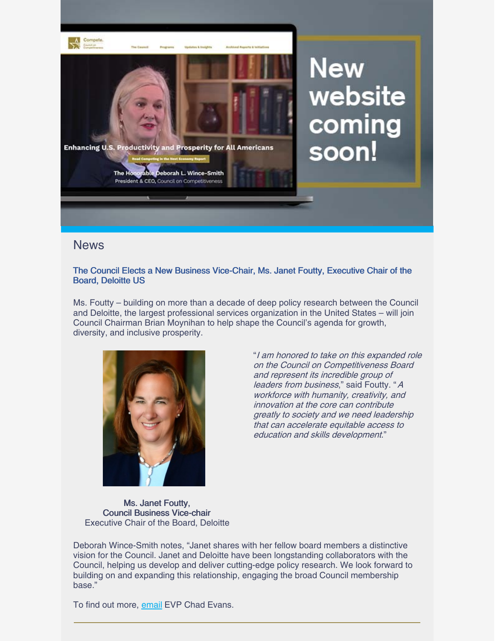

## **News**

#### The Council Elects a New Business Vice-Chair, Ms. Janet Foutty, Executive Chair of the Board, Deloitte US

Ms. Foutty – building on more than a decade of deep policy research between the Council and Deloitte, the largest professional services organization in the United States – will join Council Chairman Brian Moynihan to help shape the Council's agenda for growth, diversity, and inclusive prosperity.



"I am honored to take on this expanded role on the Council on Competitiveness Board and represent its incredible group of leaders from business," said Foutty. "A workforce with humanity, creativity, and innovation at the core can contribute greatly to society and we need leadership that can accelerate equitable access to education and skills development."

Ms. Janet Foutty, Council Business Vice-chair Executive Chair of the Board, Deloitte

Deborah Wince-Smith notes, "Janet shares with her fellow board members a distinctive vision for the Council. Janet and Deloitte have been longstanding collaborators with the Council, helping us develop and deliver cutting-edge policy research. We look forward to building on and expanding this relationship, engaging the broad Council membership base."

To find out more, [email](mailto:cevans@compete.org) EVP Chad Evans.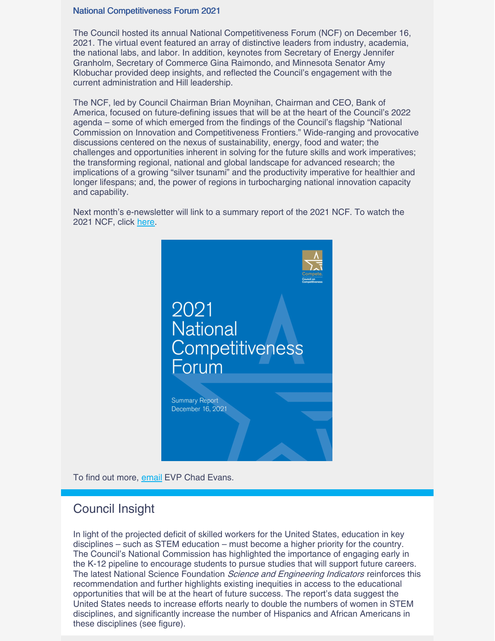#### National Competitiveness Forum 2021

The Council hosted its annual National Competitiveness Forum (NCF) on December 16, 2021. The virtual event featured an array of distinctive leaders from industry, academia, the national labs, and labor. In addition, keynotes from Secretary of Energy Jennifer Granholm, Secretary of Commerce Gina Raimondo, and Minnesota Senator Amy Klobuchar provided deep insights, and reflected the Council's engagement with the current administration and Hill leadership.

The NCF, led by Council Chairman Brian Moynihan, Chairman and CEO, Bank of America, focused on future-defining issues that will be at the heart of the Council's 2022 agenda – some of which emerged from the findings of the Council's flagship "National Commission on Innovation and Competitiveness Frontiers." Wide-ranging and provocative discussions centered on the nexus of sustainability, energy, food and water; the challenges and opportunities inherent in solving for the future skills and work imperatives; the transforming regional, national and global landscape for advanced research; the implications of a growing "silver tsunami" and the productivity imperative for healthier and longer lifespans; and, the power of regions in turbocharging national innovation capacity and capability.

Next month's e-newsletter will link to a summary report of the 2021 NCF. To watch the 2021 NCF, click [here](https://www.youtube.com/playlist?list=PLTju9Lel15_7Q6Va7PiHvSpEzmQWyCb2Z).



To find out more, [email](mailto:cevans@compete.org) EVP Chad Evans.

## Council Insight

In light of the projected deficit of skilled workers for the United States, education in key disciplines – such as STEM education – must become a higher priority for the country. The Council's National Commission has highlighted the importance of engaging early in the K-12 pipeline to encourage students to pursue studies that will support future careers. The latest National Science Foundation *Science and Engineering Indicators* reinforces this recommendation and further highlights existing inequities in access to the educational opportunities that will be at the heart of future success. The report's data suggest the United States needs to increase efforts nearly to double the numbers of women in STEM disciplines, and significantly increase the number of Hispanics and African Americans in these disciplines (see figure).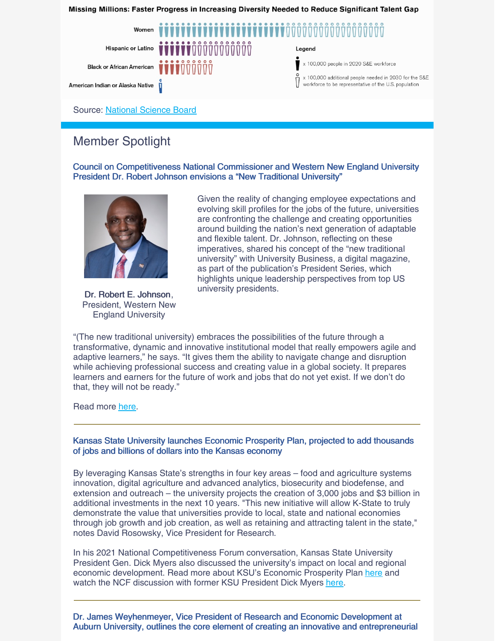Missing Millions: Faster Progress in Increasing Diversity Needed to Reduce Significant Talent Gap



## Member Spotlight

Council on Competitiveness National Commissioner and Western New England University President Dr. Robert Johnson envisions a "New Traditional University"



Dr. Robert E. Johnson, President, Western New England University

Given the reality of changing employee expectations and evolving skill profiles for the jobs of the future, universities are confronting the challenge and creating opportunities around building the nation's next generation of adaptable and flexible talent. Dr. Johnson, reflecting on these imperatives, shared his concept of the "new traditional university" with University Business, a digital magazine, as part of the publication's President Series, which highlights unique leadership perspectives from top US university presidents.

"(The new traditional university) embraces the possibilities of the future through a transformative, dynamic and innovative institutional model that really empowers agile and adaptive learners," he says. "It gives them the ability to navigate change and disruption while achieving professional success and creating value in a global society. It prepares learners and earners for the future of work and jobs that do not yet exist. If we don't do that, they will not be ready."

Read more [here](https://universitybusiness.com/president-series-what-is-a-new-traditional-university-and-why-is-the-vision-so-vital/).

Kansas State University launches Economic Prosperity Plan, projected to add thousands of jobs and billions of dollars into the Kansas economy

By leveraging Kansas State's strengths in four key areas – food and agriculture systems innovation, digital agriculture and advanced analytics, biosecurity and biodefense, and extension and outreach – the university projects the creation of 3,000 jobs and \$3 billion in additional investments in the next 10 years. "This new initiative will allow K-State to truly [demonstrate](https://em-ui.constantcontact.com/em-ui/em/page/em-ui/email#) the value that universities provide to local, state and national economies through job growth and job creation, as well as retaining and attracting talent in the state," notes David Rosowsky, Vice President for Research.

In his 2021 National Competitiveness Forum conversation, Kansas State University President Gen. Dick Myers also discussed the university's impact on local and regional economic development. Read more about KSU's Economic Prosperity Plan [here](https://www.k-state.edu/research/economic-prosperity/) and watch the NCF discussion with former KSU President Dick Myers [here](https://www.youtube.com/watch?v=w2SDSJrrFTM&list=PLTju9Lel15_7Q6Va7PiHvSpEzmQWyCb2Z&index=12).

Dr. James Weyhenmeyer, Vice President of Research and Economic Development at Auburn University, outlines the core element of creating an innovative and entrepreneurial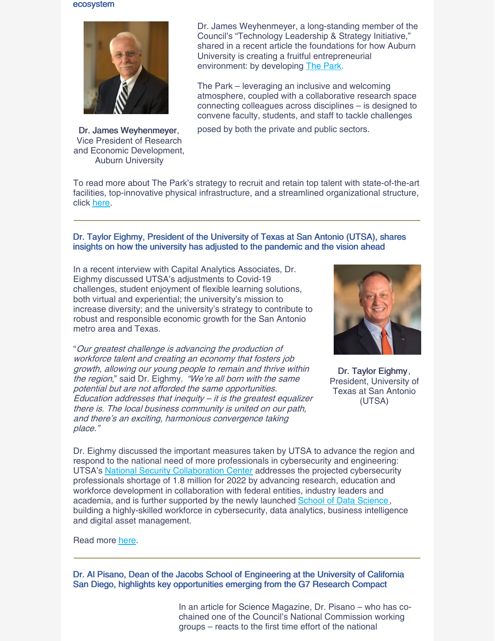#### ecosystem



Dr. James Weyhenmeyer, Vice President of Research and Economic Development, Auburn University

Dr. James Weyhenmeyer, a long-standing member of the Council's "Technology Leadership & Strategy Initiative," shared in a recent article the foundations for how Auburn University is creating a fruitful entrepreneurial environment: by developing The [Park](http://thepark.auburn.edu/).

The Park – leveraging an inclusive and welcoming atmosphere, coupled with a collaborative research space connecting colleagues across disciplines – is designed to convene faculty, students, and staff to tackle challenges

posed by both the private and public sectors.

To read more about The Park's strategy to recruit and retain top talent with state-of-the-art facilities, top-innovative physical infrastructure, and a streamlined organizational structure, click [here](https://www.bizjournals.com/birmingham/inno/stories/partner-content/2021/11/30/building-a-successful-entrepreneurial-ecosystem.html).

#### Dr. Taylor Eighmy, President of the University of Texas at San Antonio (UTSA), shares insights on how the university has adjusted to the pandemic and the vision ahead

In a recent interview with Capital Analytics Associates, Dr. Eighmy discussed UTSA's adjustments to Covid-19 challenges, student enjoyment of flexible learning solutions, both virtual and experiential; the university's mission to increase diversity; and the university's strategy to contribute to robust and responsible economic growth for the San Antonio metro area and Texas.

"Our greatest challenge is advancing the production of workforce talent and creating an economy that fosters job growth, allowing our young people to remain and thrive within the region," said Dr. Eighmy. "We're all born with the same potential but are not afforded the same opportunities. Education addresses that inequity  $-$  it is the greatest equalizer there is. The local business community is united on our path, and there's an exciting, harmonious convergence taking place."



Dr. Taylor Eighmy, President, University of Texas at San Antonio (UTSA)

Dr. Eighmy discussed the important measures taken by UTSA to advance the region and respond to the national need of more professionals in cybersecurity and engineering: UTSA's National Security [Collaboration](https://nscc.utsa.edu/) Center addresses the projected cybersecurity professionals shortage of 1.8 million for 2022 by advancing research, education and workforce development in collaboration with federal entities, industry leaders and academia, and is further supported by the newly launched School of Data [Science](https://provost.utsa.edu/sds/), building a highly-skilled workforce in cybersecurity, data analytics, business intelligence and digital asset management.

#### Read more [here](https://www.capitalanalyticsassociates.com/spotlight-on-taylor-eighmy-president-the-university-of-texas-at-san-antonio/).

Dr. Al Pisano, Dean of the Jacobs School of Engineering at the University of California San Diego, highlights key opportunities emerging from the G7 Research Compact

> In an article for Science Magazine, Dr. Pisano – who has cochained one of the Council's National Commission working groups – reacts to the first time effort of the national